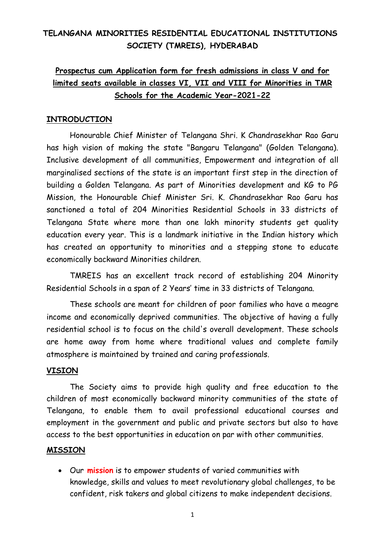## **TELANGANA MINORITIES RESIDENTIAL EDUCATIONAL INSTITUTIONS SOCIETY (TMREIS), HYDERABAD**

# **Prospectus cum Application form for fresh admissions in class V and for limited seats available in classes VI, VII and VIII for Minorities in TMR Schools for the Academic Year-2021-22**

#### **INTRODUCTION**

Honourable Chief Minister of Telangana Shri. K Chandrasekhar Rao Garu has high vision of making the state "Bangaru Telangana" (Golden Telangana). Inclusive development of all communities, Empowerment and integration of all marginalised sections of the state is an important first step in the direction of building a Golden Telangana. As part of Minorities development and KG to PG Mission, the Honourable Chief Minister Sri. K. Chandrasekhar Rao Garu has sanctioned a total of 204 Minorities Residential Schools in 33 districts of Telangana State where more than one lakh minority students get quality education every year. This is a landmark initiative in the Indian history which has created an opportunity to minorities and a stepping stone to educate economically backward Minorities children.

TMREIS has an excellent track record of establishing 204 Minority Residential Schools in a span of 2 Years' time in 33 districts of Telangana.

These schools are meant for children of poor families who have a meagre income and economically deprived communities. The objective of having a fully residential school is to focus on the child's overall development. These schools are home away from home where traditional values and complete family atmosphere is maintained by trained and caring professionals.

#### **VISION**

The Society aims to provide high quality and free education to the children of most economically backward minority communities of the state of Telangana, to enable them to avail professional educational courses and employment in the government and public and private sectors but also to have access to the best opportunities in education on par with other communities.

#### **MISSION**

 Our **mission** is to empower students of varied communities with knowledge, skills and values to meet revolutionary global challenges, to be confident, risk takers and global citizens to make independent decisions.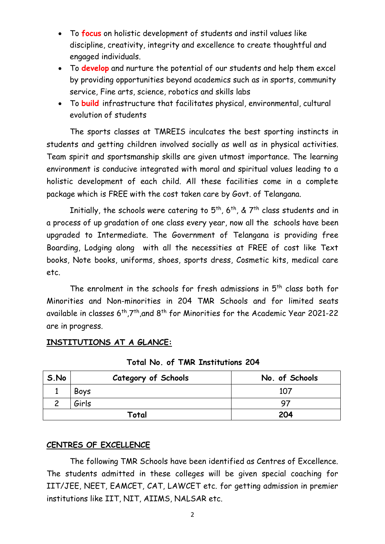- To **focus** on holistic development of students and instil values like discipline, creativity, integrity and excellence to create thoughtful and engaged individuals.
- To **develop** and nurture the potential of our students and help them excel by providing opportunities beyond academics such as in sports, community service, Fine arts, science, robotics and skills labs
- To **build** infrastructure that facilitates physical, environmental, cultural evolution of students

The sports classes at TMREIS inculcates the best sporting instincts in students and getting children involved socially as well as in physical activities. Team spirit and sportsmanship skills are given utmost importance. The learning environment is conducive integrated with moral and spiritual values leading to a holistic development of each child. All these facilities come in a complete package which is FREE with the cost taken care by Govt. of Telangana.

Initially, the schools were catering to  $5^{\text{th}}$ , 6<sup>th</sup>, & 7<sup>th</sup> class students and in a process of up gradation of one class every year, now all the schools have been upgraded to Intermediate. The Government of Telangana is providing free Boarding, Lodging along with all the necessities at FREE of cost like Text books, Note books, uniforms, shoes, sports dress, Cosmetic kits, medical care etc.

The enrolment in the schools for fresh admissions in 5<sup>th</sup> class both for Minorities and Non-minorities in 204 TMR Schools and for limited seats available in classes  $6^{th}$ ,  $7^{th}$ , and  $8^{th}$  for Minorities for the Academic Year 2021-22 are in progress.

| S.No | <b>Category of Schools</b> | No. of Schools |
|------|----------------------------|----------------|
|      | Boys                       | 107            |
|      | Girls                      | 97             |
|      | Total                      | 204            |

### **INSTITUTIONS AT A GLANCE:**

**Total No. of TMR Institutions 204** 

### **CENTRES OF EXCELLENCE**

The following TMR Schools have been identified as Centres of Excellence. The students admitted in these colleges will be given special coaching for IIT/JEE, NEET, EAMCET, CAT, LAWCET etc. for getting admission in premier institutions like IIT, NIT, AIIMS, NALSAR etc.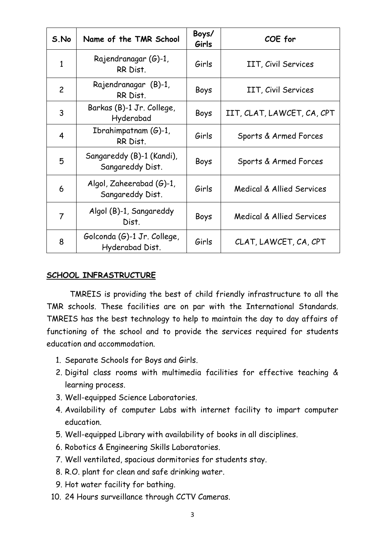| S.No           | Name of the TMR School                          | Boys/<br>Girls | COE for                              |
|----------------|-------------------------------------------------|----------------|--------------------------------------|
| 1              | Rajendranagar (G)-1,<br>RR Dist.                | Girls          | IIT, Civil Services                  |
| $\overline{c}$ | Rajendranagar (B)-1,<br>RR Dist.                | Boys           | IIT, Civil Services                  |
| 3              | Barkas (B)-1 Jr. College,<br>Hyderabad          | Boys           | IIT, CLAT, LAWCET, CA, CPT           |
| 4              | Ibrahimpatnam $(G)-1$ ,<br>RR Dist.             | Girls          | Sports & Armed Forces                |
| 5              | Sangareddy (B)-1 (Kandi),<br>Sangareddy Dist.   | Boys           | Sports & Armed Forces                |
| 6              | Algol, Zaheerabad $(G)-1$ ,<br>Sangareddy Dist. | Girls          | <b>Medical &amp; Allied Services</b> |
| $\overline{7}$ | Algol (B)-1, Sangareddy<br>Dist.                | Boys           | <b>Medical &amp; Allied Services</b> |
| 8              | Golconda (G)-1 Jr. College,<br>Hyderabad Dist.  | Girls          | CLAT, LAWCET, CA, CPT                |

### **SCHOOL INFRASTRUCTURE**

TMREIS is providing the best of child friendly infrastructure to all the TMR schools. These facilities are on par with the International Standards. TMREIS has the best technology to help to maintain the day to day affairs of functioning of the school and to provide the services required for students education and accommodation.

- 1. Separate Schools for Boys and Girls.
- 2. Digital class rooms with multimedia facilities for effective teaching & learning process.
- 3. Well-equipped Science Laboratories.
- 4. Availability of computer Labs with internet facility to impart computer education.
- 5. Well-equipped Library with availability of books in all disciplines.
- 6. Robotics & Engineering Skills Laboratories.
- 7. Well ventilated, spacious dormitories for students stay.
- 8. R.O. plant for clean and safe drinking water.
- 9. Hot water facility for bathing.
- 10. 24 Hours surveillance through CCTV Cameras.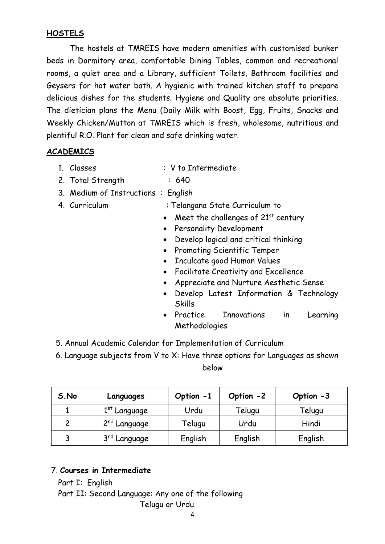### **HOSTELS**

The hostels at TMREIS have modern amenities with customised bunker beds in Dormitory area, comfortable Dining Tables, common and recreational rooms, a quiet area and a Library, sufficient Toilets, Bathroom facilities and Geysers for hot water bath. A hygienic with trained kitchen staff to prepare delicious dishes for the students. Hygiene and Quality are absolute priorities. The dietician plans the Menu (Daily Milk with Boost, Egg, Fruits, Snacks and Weekly Chicken/Mutton at TMREIS which is fresh, wholesome, nutritious and plentiful R.O. Plant for clean and safe drinking water.

### **ACADEMICS**

1. Classes : V to Intermediate

- 2. Total Strength : 640
- 3. Medium of Instructions : English
- 
- 4. Curriculum : Telangana State Curriculum to
	- Meet the challenges of  $21<sup>st</sup>$  century
	- Personality Development
	- Develop logical and critical thinking
	- Promoting Scientific Temper
	- Inculcate good Human Values
	- Facilitate Creativity and Excellence
	- Appreciate and Nurture Aesthetic Sense
	- Develop Latest Information & Technology Skills
	- Practice Innovations in Learning Methodologies
- 5. Annual Academic Calendar for Implementation of Curriculum
- 6. Language subjects from V to X: Have three options for Languages as shown

below

| S.No | Languages                | Option -1 | Option -2 | Option -3 |
|------|--------------------------|-----------|-----------|-----------|
|      | 1 <sup>st</sup> Language | Urdu      | Telugu    | Telugu    |
| 2    | 2 <sup>nd</sup> Language | Telugu    | Urdu      | Hindi     |
| 3    | 3 <sup>rd</sup> Language | English   | English   | English   |

### 7. **Courses in Intermediate**

Part I: English

Part II: Second Language: Any one of the following

Telugu or Urdu.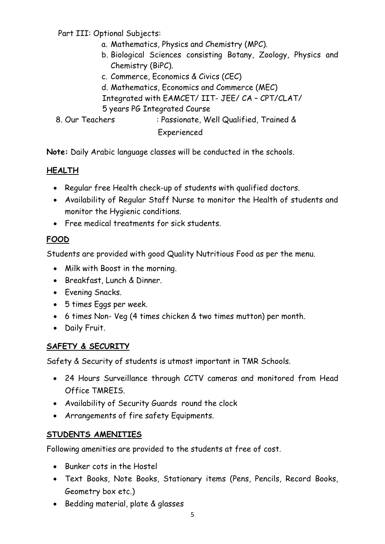Part III: Optional Subjects:

- a. Mathematics, Physics and Chemistry (MPC).
- b. Biological Sciences consisting Botany, Zoology, Physics and Chemistry (BiPC).
- c. Commerce, Economics & Civics (CEC)
- d. Mathematics, Economics and Commerce (MEC)
- Integrated with EAMCET/ IIT- JEE/ CA CPT/CLAT/
- 5 years PG Integrated Course
- 
- 8. Our Teachers : Passionate, Well Qualified, Trained & Experienced

**Note:** Daily Arabic language classes will be conducted in the schools.

# **HEALTH**

- Regular free Health check-up of students with qualified doctors.
- Availability of Regular Staff Nurse to monitor the Health of students and monitor the Hygienic conditions.
- Free medical treatments for sick students.

# **FOOD**

Students are provided with good Quality Nutritious Food as per the menu.

- Milk with Boost in the morning.
- Breakfast, Lunch & Dinner.
- Evening Snacks.
- 5 times Eggs per week.
- 6 times Non- Veg (4 times chicken & two times mutton) per month.
- Daily Fruit.

# **SAFETY & SECURITY**

Safety & Security of students is utmost important in TMR Schools.

- 24 Hours Surveillance through CCTV cameras and monitored from Head Office TMREIS.
- Availability of Security Guards round the clock
- Arrangements of fire safety Equipments.

# **STUDENTS AMENITIES**

Following amenities are provided to the students at free of cost.

- Bunker cots in the Hostel
- Text Books, Note Books, Stationary items (Pens, Pencils, Record Books, Geometry box etc.)
- Bedding material, plate & glasses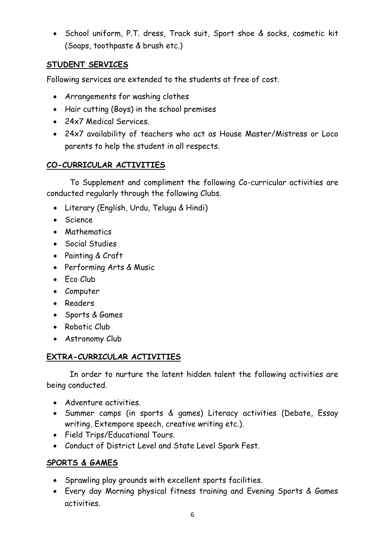School uniform, P.T. dress, Track suit, Sport shoe & socks, cosmetic kit (Soaps, toothpaste & brush etc.)

## **STUDENT SERVICES**

Following services are extended to the students at free of cost.

- Arrangements for washing clothes
- Hair cutting (Boys) in the school premises
- 24x7 Medical Services.
- 24x7 availability of teachers who act as House Master/Mistress or Loco parents to help the student in all respects.

# **CO-CURRICULAR ACTIVITIES**

To Supplement and compliment the following Co-curricular activities are conducted regularly through the following Clubs.

- Literary (English, Urdu, Telugu & Hindi)
- Science
- Mathematics
- Social Studies
- Painting & Craft
- Performing Arts & Music
- Eco Club
- Computer
- Readers
- Sports & Games
- Robotic Club
- Astronomy Club

# **EXTRA-CURRICULAR ACTIVITIES**

In order to nurture the latent hidden talent the following activities are being conducted.

- Adventure activities.
- Summer camps (in sports & games) Literacy activities (Debate, Essay writing, Extempore speech, creative writing etc.).
- Field Trips/Educational Tours.
- Conduct of District Level and State Level Spark Fest.

# **SPORTS & GAMES**

- Sprawling play grounds with excellent sports facilities.
- Every day Morning physical fitness training and Evening Sports & Games activities.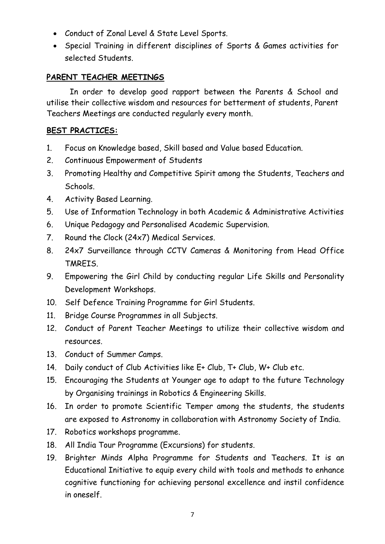- Conduct of Zonal Level & State Level Sports.
- Special Training in different disciplines of Sports & Games activities for selected Students.

### **PARENT TEACHER MEETINGS**

In order to develop good rapport between the Parents & School and utilise their collective wisdom and resources for betterment of students, Parent Teachers Meetings are conducted regularly every month.

### **BEST PRACTICES:**

- 1. Focus on Knowledge based, Skill based and Value based Education.
- 2. Continuous Empowerment of Students
- 3. Promoting Healthy and Competitive Spirit among the Students, Teachers and Schools.
- 4. Activity Based Learning.
- 5. Use of Information Technology in both Academic & Administrative Activities
- 6. Unique Pedagogy and Personalised Academic Supervision.
- 7. Round the Clock (24x7) Medical Services.
- 8. 24x7 Surveillance through CCTV Cameras & Monitoring from Head Office TMREIS.
- 9. Empowering the Girl Child by conducting regular Life Skills and Personality Development Workshops.
- 10. Self Defence Training Programme for Girl Students.
- 11. Bridge Course Programmes in all Subjects.
- 12. Conduct of Parent Teacher Meetings to utilize their collective wisdom and resources.
- 13. Conduct of Summer Camps.
- 14. Daily conduct of Club Activities like E+ Club, T+ Club, W+ Club etc.
- 15. Encouraging the Students at Younger age to adapt to the future Technology by Organising trainings in Robotics & Engineering Skills.
- 16. In order to promote Scientific Temper among the students, the students are exposed to Astronomy in collaboration with Astronomy Society of India.
- 17. Robotics workshops programme.
- 18. All India Tour Programme (Excursions) for students.
- 19. Brighter Minds Alpha Programme for Students and Teachers. It is an Educational Initiative to equip every child with tools and methods to enhance cognitive functioning for achieving personal excellence and instil confidence in oneself.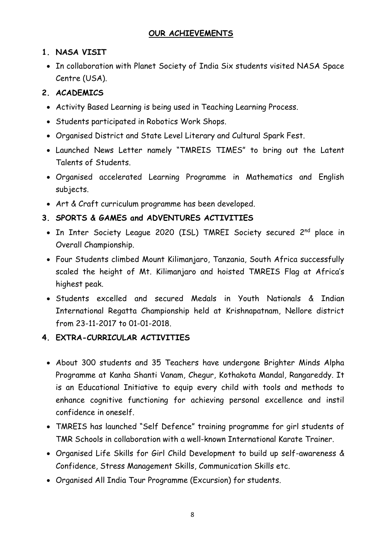## **OUR ACHIEVEMENTS**

### **1. NASA VISIT**

• In collaboration with Planet Society of India Six students visited NASA Space Centre (USA).

## **2. ACADEMICS**

- Activity Based Learning is being used in Teaching Learning Process.
- Students participated in Robotics Work Shops.
- Organised District and State Level Literary and Cultural Spark Fest.
- Launched News Letter namely "TMREIS TIMES" to bring out the Latent Talents of Students.
- Organised accelerated Learning Programme in Mathematics and English subjects.
- Art & Craft curriculum programme has been developed.

## **3. SPORTS & GAMES and ADVENTURES ACTIVITIES**

- In Inter Society League 2020 (ISL) TMREI Society secured 2<sup>nd</sup> place in Overall Championship.
- Four Students climbed Mount Kilimanjaro, Tanzania, South Africa successfully scaled the height of Mt. Kilimanjaro and hoisted TMREIS Flag at Africa's highest peak.
- Students excelled and secured Medals in Youth Nationals & Indian International Regatta Championship held at Krishnapatnam, Nellore district from 23-11-2017 to 01-01-2018.

## **4. EXTRA-CURRICULAR ACTIVITIES**

- About 300 students and 35 Teachers have undergone Brighter Minds Alpha Programme at Kanha Shanti Vanam, Chegur, Kothakota Mandal, Rangareddy. It is an Educational Initiative to equip every child with tools and methods to enhance cognitive functioning for achieving personal excellence and instil confidence in oneself.
- TMREIS has launched "Self Defence" training programme for girl students of TMR Schools in collaboration with a well-known International Karate Trainer.
- Organised Life Skills for Girl Child Development to build up self-awareness & Confidence, Stress Management Skills, Communication Skills etc.
- Organised All India Tour Programme (Excursion) for students.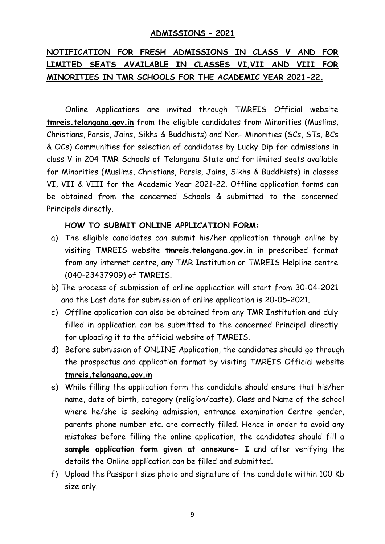### **ADMISSIONS – 2021**

# **NOTIFICATION FOR FRESH ADMISSIONS IN CLASS V AND FOR LIMITED SEATS AVAILABLE IN CLASSES VI,VII AND VIII FOR MINORITIES IN TMR SCHOOLS FOR THE ACADEMIC YEAR 2021-22.**

 Online Applications are invited through TMREIS Official website **tmreis.telangana.gov.in** from the eligible candidates from Minorities (Muslims, Christians, Parsis, Jains, Sikhs & Buddhists) and Non- Minorities (SCs, STs, BCs & OCs) Communities for selection of candidates by Lucky Dip for admissions in class V in 204 TMR Schools of Telangana State and for limited seats available for Minorities (Muslims, Christians, Parsis, Jains, Sikhs & Buddhists) in classes VI, VII & VIII for the Academic Year 2021-22. Offline application forms can be obtained from the concerned Schools & submitted to the concerned Principals directly.

#### **HOW TO SUBMIT ONLINE APPLICATION FORM:**

- a) The eligible candidates can submit his/her application through online by visiting TMREIS website **tmreis.telangana.gov.in** in prescribed format from any internet centre, any TMR Institution or TMREIS Helpline centre (040-23437909) of TMREIS.
- b) The process of submission of online application will start from 30-04-2021 and the Last date for submission of online application is 20-05-2021.
- c) Offline application can also be obtained from any TMR Institution and duly filled in application can be submitted to the concerned Principal directly for uploading it to the official website of TMREIS.
- d) Before submission of ONLINE Application, the candidates should go through the prospectus and application format by visiting TMREIS Official website **tmreis.telangana.gov.in**
- e) While filling the application form the candidate should ensure that his/her name, date of birth, category (religion/caste), Class and Name of the school where he/she is seeking admission, entrance examination Centre gender, parents phone number etc. are correctly filled. Hence in order to avoid any mistakes before filling the online application, the candidates should fill a **sample application form given at annexure- I** and after verifying the details the Online application can be filled and submitted.
- f) Upload the Passport size photo and signature of the candidate within 100 Kb size only.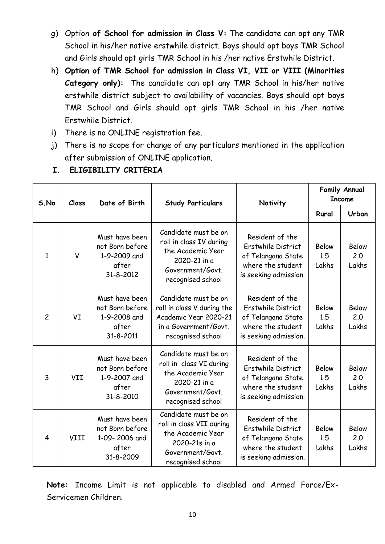- g) Option **of School for admission in Class V:** The candidate can opt any TMR School in his/her native erstwhile district. Boys should opt boys TMR School and Girls should opt girls TMR School in his /her native Erstwhile District.
- h) **Option of TMR School for admission in Class VI, VII or VIII (Minorities Category only):** The candidate can opt any TMR School in his/her native erstwhile district subject to availability of vacancies. Boys should opt boys TMR School and Girls should opt girls TMR School in his /her native Erstwhile District.
- i) There is no ONLINE registration fee.
- j) There is no scope for change of any particulars mentioned in the application after submission of ONLINE application.

| S.No           | Class      | Date of Birth                                                            | <b>Study Particulars</b>                                                                                                        | Nativity                                                                                                         | <b>Family Annual</b><br><b>Income</b> |                       |
|----------------|------------|--------------------------------------------------------------------------|---------------------------------------------------------------------------------------------------------------------------------|------------------------------------------------------------------------------------------------------------------|---------------------------------------|-----------------------|
|                |            |                                                                          |                                                                                                                                 |                                                                                                                  | Rural                                 | Urban                 |
| $\mathbf{1}$   | V          | Must have been<br>not Born before<br>1-9-2009 and<br>after<br>31-8-2012  | Candidate must be on<br>roll in class IV during<br>the Academic Year<br>2020-21 in a<br>Government/Govt.<br>recognised school   | Resident of the<br><b>Erstwhile District</b><br>of Telangana State<br>where the student<br>is seeking admission. | <b>Below</b><br>1.5<br>Lakhs          | Below<br>2.0<br>Lakhs |
| $\overline{c}$ | VI         | Must have been<br>not Born before<br>1-9-2008 and<br>after<br>31-8-2011  | Candidate must be on<br>roll in class V during the<br>Academic Year 2020-21<br>in a Government/Govt.<br>recognised school       | Resident of the<br>Erstwhile District<br>of Telangana State<br>where the student<br>is seeking admission.        | <b>Below</b><br>1.5<br>Lakhs          | Below<br>2.0<br>Lakhs |
| 3              | <b>VII</b> | Must have been<br>not Born before<br>1-9-2007 and<br>after<br>31-8-2010  | Candidate must be on<br>roll in class VI during<br>the Academic Year<br>2020-21 in a<br>Government/Govt.<br>recognised school   | Resident of the<br><b>Erstwhile District</b><br>of Telangana State<br>where the student<br>is seeking admission. | Below<br>1.5<br>Lakhs                 | Below<br>2.0<br>Lakhs |
| $\overline{4}$ | VIII       | Must have been<br>not Born before<br>1-09-2006 and<br>after<br>31-8-2009 | Candidate must be on<br>roll in class VII during<br>the Academic Year<br>2020-21s in a<br>Government/Govt.<br>recognised school | Resident of the<br>Erstwhile District<br>of Telangana State<br>where the student<br>is seeking admission.        | Below<br>1.5<br>Lakhs                 | Below<br>2.0<br>Lakhs |

## **I. ELIGIBILITY CRITERIA**

**Note:** Income Limit is not applicable to disabled and Armed Force/Ex-Servicemen Children.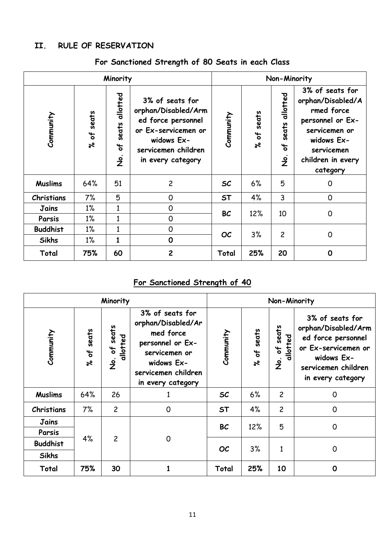# **II. RULE OF RESERVATION**

|                 | Minority                          |                                                               |                                                                                                                                               |           | Non-Minority                      |                                                          |                                                                                                                                                      |  |
|-----------------|-----------------------------------|---------------------------------------------------------------|-----------------------------------------------------------------------------------------------------------------------------------------------|-----------|-----------------------------------|----------------------------------------------------------|------------------------------------------------------------------------------------------------------------------------------------------------------|--|
| Community       | seats<br>$\frac{1}{\sigma}$<br>ಸೇ | allotted<br>eats<br>ū<br>$\frac{1}{\sigma}$<br>$\overline{z}$ | 3% of seats for<br>orphan/Disabled/Arm<br>ed force personnel<br>or Ex-servicemen or<br>widows Ex-<br>servicemen children<br>in every category | Community | seats<br>$\frac{1}{\sigma}$<br>ಸೇ | allotted<br>eats<br>n<br>┶<br>$\bullet$<br>$\frac{9}{2}$ | 3% of seats for<br>orphan/Disabled/A<br>rmed force<br>personnel or Ex-<br>servicemen or<br>widows Ex-<br>servicemen<br>children in every<br>category |  |
| <b>Muslims</b>  | 64%                               | 51                                                            | $\overline{c}$                                                                                                                                | SC        | 6%                                | 5                                                        | 0                                                                                                                                                    |  |
| Christians      | 7%                                | 5                                                             | 0                                                                                                                                             | <b>ST</b> | 4%                                | 3                                                        | $\mathsf{O}$                                                                                                                                         |  |
| Jains           | $1\%$                             | 1                                                             | 0                                                                                                                                             | <b>BC</b> | 12%                               | 10                                                       | $\overline{0}$                                                                                                                                       |  |
| Parsis          | $1\%$                             | $\mathbf{1}$                                                  | 0                                                                                                                                             |           |                                   |                                                          |                                                                                                                                                      |  |
| <b>Buddhist</b> | $1\%$                             | $\mathbf{1}$                                                  | 0                                                                                                                                             | <b>OC</b> | 3%                                | $\overline{c}$                                           | $\Omega$                                                                                                                                             |  |
| <b>Sikhs</b>    | $1\%$                             | $\mathbf{1}$                                                  | $\mathbf 0$                                                                                                                                   |           |                                   |                                                          |                                                                                                                                                      |  |
| Total           | 75%                               | 60                                                            | $\overline{c}$                                                                                                                                | Total     | 25%                               | 20                                                       | $\mathbf 0$                                                                                                                                          |  |

# **For Sanctioned Strength of 80 Seats in each Class**

# **For Sanctioned Strength of 40**

|                                 | Minority                    |                                                    |                                                                                                                                                   |           |                             | Non-Minority                                             |                                                                                                                                               |  |  |
|---------------------------------|-----------------------------|----------------------------------------------------|---------------------------------------------------------------------------------------------------------------------------------------------------|-----------|-----------------------------|----------------------------------------------------------|-----------------------------------------------------------------------------------------------------------------------------------------------|--|--|
| Community                       | seats<br>$\mathbf{b}$<br>ಸ್ | seats<br>allotted<br>$\mathbf{b}$<br>$\frac{9}{2}$ | 3% of seats for<br>orphan/Disabled/Ar<br>med force<br>personnel or Ex-<br>servicemen or<br>widows Ex-<br>servicemen children<br>in every category | Community | seats<br>$\mathbf{b}$<br>ಸಿ | seats<br>llotted<br>$\frac{4}{\sigma}$<br>$\overline{z}$ | 3% of seats for<br>orphan/Disabled/Arm<br>ed force personnel<br>or Ex-servicemen or<br>widows Ex-<br>servicemen children<br>in every category |  |  |
| <b>Muslims</b>                  | 64%                         | 26                                                 |                                                                                                                                                   | SC        | 6%                          | $\overline{c}$                                           | 0                                                                                                                                             |  |  |
| Christians                      | 7%                          | $\overline{c}$                                     | $\mathbf 0$                                                                                                                                       | <b>ST</b> | 4%                          | $\overline{c}$                                           | 0                                                                                                                                             |  |  |
| Jains<br>Parsis                 |                             |                                                    |                                                                                                                                                   | <b>BC</b> | 12%                         | 5                                                        | 0                                                                                                                                             |  |  |
| <b>Buddhist</b><br><b>Sikhs</b> | 4%                          | $\overline{c}$                                     | $\mathbf 0$                                                                                                                                       | <b>OC</b> | 3%                          | $\mathbf{1}$                                             | 0                                                                                                                                             |  |  |
| Total                           | 75%                         | 30                                                 |                                                                                                                                                   | Total     | 25%                         | 10                                                       | 0                                                                                                                                             |  |  |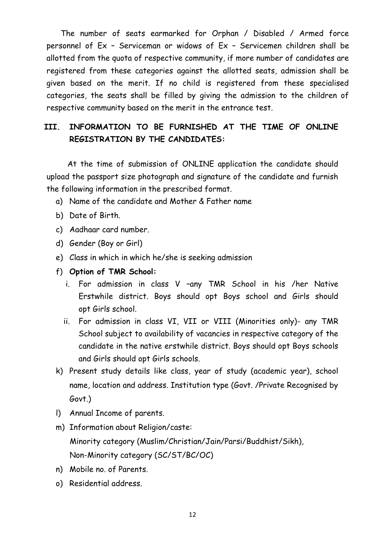The number of seats earmarked for Orphan / Disabled / Armed force personnel of Ex – Serviceman or widows of Ex – Servicemen children shall be allotted from the quota of respective community, if more number of candidates are registered from these categories against the allotted seats, admission shall be given based on the merit. If no child is registered from these specialised categories, the seats shall be filled by giving the admission to the children of respective community based on the merit in the entrance test.

# **III. INFORMATION TO BE FURNISHED AT THE TIME OF ONLINE REGISTRATION BY THE CANDIDATES:**

At the time of submission of ONLINE application the candidate should upload the passport size photograph and signature of the candidate and furnish the following information in the prescribed format.

- a) Name of the candidate and Mother & Father name
- b) Date of Birth.
- c) Aadhaar card number.
- d) Gender (Boy or Girl)
- e) Class in which in which he/she is seeking admission
- f) **Option of TMR School:** 
	- i. For admission in class V –any TMR School in his /her Native Erstwhile district. Boys should opt Boys school and Girls should opt Girls school.
	- ii. For admission in class VI, VII or VIII (Minorities only)- any TMR School subject to availability of vacancies in respective category of the candidate in the native erstwhile district. Boys should opt Boys schools and Girls should opt Girls schools.
- k) Present study details like class, year of study (academic year), school name, location and address. Institution type (Govt. /Private Recognised by Govt.)
- l) Annual Income of parents.
- m) Information about Religion/caste: Minority category (Muslim/Christian/Jain/Parsi/Buddhist/Sikh), Non-Minority category (SC/ST/BC/OC)
- n) Mobile no. of Parents.
- o) Residential address.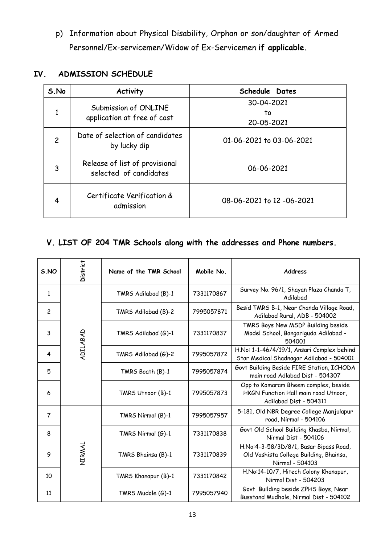p) Information about Physical Disability, Orphan or son/daughter of Armed Personnel/Ex-servicemen/Widow of Ex-Servicemen **if applicable.**

### **IV. ADMISSION SCHEDULE**

| S.No           | <b>Activity</b>                                          | Schedule Dates                  |
|----------------|----------------------------------------------------------|---------------------------------|
|                | Submission of ONLINE<br>application at free of cost      | 30-04-2021<br>to.<br>20-05-2021 |
| $\overline{c}$ | Date of selection of candidates<br>by lucky dip          | 01-06-2021 to 03-06-2021        |
| 3              | Release of list of provisional<br>selected of candidates | 06-06-2021                      |
| 4              | Certificate Verification &<br>admission                  | 08-06-2021 to 12 -06-2021       |

## **V. LIST OF 204 TMR Schools along with the addresses and Phone numbers.**

| S.NO           | District | Name of the TMR School | Mobile No. | <b>Address</b>                                                                                         |
|----------------|----------|------------------------|------------|--------------------------------------------------------------------------------------------------------|
| 1              |          | TMRS Adilabad (B)-1    | 7331170867 | Survey No. 96/1, Shayan Plaza Chanda T,<br>Adilabad                                                    |
| $\overline{c}$ |          | TMRS Adilabad (B)-2    | 7995057871 | Besid TMRS B-1, Near Chanda Village Road,<br>Adilabad Rural, ADB - 504002                              |
| 3              | ADILABAD | TMRS Adilabad (G)-1    | 7331170837 | TMRS Boys New MSDP Building beside<br>Model School, Bangariguda Adilabad -<br>504001                   |
| 4              |          | TMRS Adilabad (G)-2    | 7995057872 | H.No: 1-1-46/4/19/1, Ansari Complex behind<br>Star Medical Shadnagar Adilabad - 504001                 |
| 5              |          | TMRS Boath (B)-1       | 7995057874 | Govt Building Beside FIRE Station, ICHODA<br>main road Adlabad Dist - 504307                           |
| 6              |          | TMRS Utnoor (B)-1      | 7995057873 | Opp to Komaram Bheem complex, beside<br>HKGN Function Hall main road Utnoor,<br>Adilabad Dist - 504311 |
| $\overline{7}$ |          | TMRS Nirmal (B)-1      | 7995057957 | 5-181, Old NBR Degree College Manjulapur<br>road, Nirmal - 504106                                      |
| 8              |          | TMRS Nirmal (G)-1      | 7331170838 | Govt Old School Building Khasba, Nirmal,<br>Nirmal Dist - 504106                                       |
| 9              | NIRMAL   | TMRS Bhainsa (B)-1     | 7331170839 | H.No:4-3-58/3D/8/1, Basar Bipass Road,<br>Old Vashista College Building, Bhainsa,<br>Nirmal - 504103   |
| 10             |          | TMRS Khanapur (B)-1    | 7331170842 | H.No:14-10/7, Hitech Colony Khanapur,<br>Nirmal Dist - 504203                                          |
| 11             |          | TMRS Mudole (G)-1      | 7995057940 | Govt Building beside ZPHS Boys, Near<br>Busstand Mudhole, Nirmal Dist - 504102                         |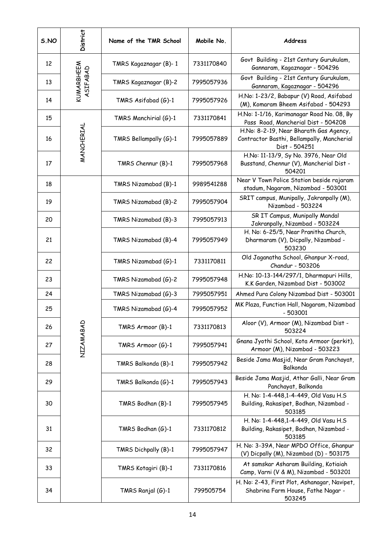| S.NO | <b>District</b>        | Name of the TMR School   | Mobile No. | Address                                                                                               |
|------|------------------------|--------------------------|------------|-------------------------------------------------------------------------------------------------------|
| 12   |                        | TMRS Kagaznagar (B)-1    | 7331170840 | Govt Building - 21st Century Gurukulam,<br>Gannaram, Kagaznagar - 504296                              |
| 13   | KUMARBHEEM<br>ASIFABAD | TMRS Kagaznagar (B)-2    | 7995057936 | Govt Building - 21st Century Gurukulam,<br>Gannaram, Kagaznagar - 504296                              |
| 14   |                        | TMRS Asifabad (G)-1      | 7995057926 | H.No: 1-23/2, Babapur (V) Road, Asifabad<br>(M), Komaram Bheem Asifabad - 504293                      |
| 15   |                        | TMRS Manchirial (G)-1    | 7331170841 | H.No: 1-1/16, Karimanagar Road No. 08, By<br>Pass Road, Mancherial Dist - 504208                      |
| 16   | MANCHERIAL             | TMRS Bellampally $(G)-1$ | 7995057889 | H.No: 8-2-19, Near Bharath Gas Agency,<br>Contractor Basthi, Bellampally, Mancherial<br>Dist - 504251 |
| 17   |                        | TMRS Chennur (B)-1       | 7995057968 | H.No: 11-13/9, Sy No. 3976, Near Old<br>Busstand, Chennur (V), Mancherial Dist -<br>504201            |
| 18   |                        | TMRS Nizamabad (B)-1     | 9989541288 | Near V Town Police Station beside rajaram<br>stadum, Nagaram, Nizambad - 503001                       |
| 19   |                        | TMRS Nizamabad (B)-2     | 7995057904 | SRIT campus, Munipally, Jakranpally (M),<br>Nizambad - 503224                                         |
| 20   |                        | TMRS Nizamabad (B)-3     | 7995057913 | SR IT Campus, Munipally Mandal<br>Jakranpally, Nizambad - 503224                                      |
| 21   |                        | TMRS Nizamabad (B)-4     | 7995057949 | H. No: 6-25/5, Near Pranitha Church,<br>Dharmaram (V), Dicpally, Nizambad -<br>503230                 |
| 22   |                        | TMRS Nizamabad (G)-1     | 7331170811 | Old Jaganatha School, Ghanpur X-road,<br>Chandur - 503206                                             |
| 23   |                        | TMRS Nizamabad (G)-2     | 7995057948 | H.No: 10-13-144/297/1, Dharmapuri Hills,<br>K.K Garden, Nizambad Dist - 503002                        |
| 24   |                        | TMRS Nizamabad (G)-3     | 7995057951 | Ahmed Pura Colony Nizambad Dist - 503001                                                              |
| 25   |                        | TMRS Nizamabad (G)-4     | 7995057952 | MK Plaza, Function Hall, Nagaram, Nizambad<br>$-503001$                                               |
| 26   |                        | TMRS Armoor (B)-1        | 7331170813 | Aloor (V), Armoor (M), Nizambad Dist -<br>503224                                                      |
| 27   | NIZAMABAD              | TMRS Armoor $(G)-1$      | 7995057941 | Gnana Jyothi School, Kota Armoor (perkit),<br>Armoor (M), Nizambad - 503223                           |
| 28   |                        | TMRS Balkonda (B)-1      | 7995057942 | Beside Jama Masjid, Near Gram Panchayat,<br>Balkonda                                                  |
| 29   |                        | TMRS Balkonda (G)-1      | 7995057943 | Beside Jama Masjid, Athar Galli, Near Gram<br>Panchayat, Balkonda                                     |
| 30   |                        | TMRS Bodhan (B)-1        | 7995057945 | H. No: 1-4-448,1-4-449, Old Vasu H.S<br>Building, Rakasipet, Bodhan, Nizambad -<br>503185             |
| 31   |                        | TMRS Bodhan (G)-1        | 7331170812 | H. No: 1-4-448,1-4-449, Old Vasu H.S<br>Building, Rakasipet, Bodhan, Nizambad -<br>503185             |
| 32   |                        | TMRS Dichpally (B)-1     | 7995057947 | H. No: 3-39A, Near MPDO Office, Ghanpur<br>(V) Dicpally (M), Nizambad (D) - 503175                    |
| 33   |                        | TMRS Kotagiri (B)-1      | 7331170816 | At samskar Asharam Building, Kotiaiah<br>Camp, Varni (V & M), Nizambad - 503201                       |
| 34   |                        | TMRS Ranjal $(G)-1$      | 799505754  | H. No: 2-43, First Plot, Ashanagar, Navipet,<br>Shabrina Farm House, Fathe Nagar -<br>503245          |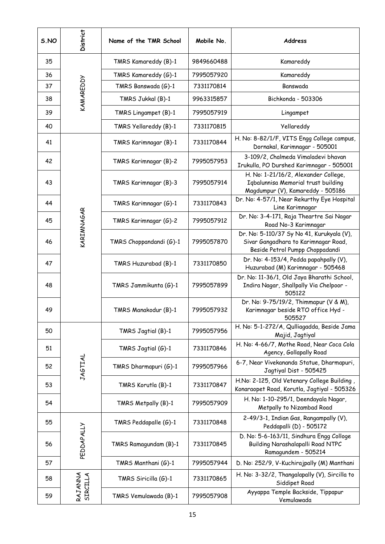| S.NO | District                 | Name of the TMR School  | Mobile No. | <b>Address</b>                                                                                                       |
|------|--------------------------|-------------------------|------------|----------------------------------------------------------------------------------------------------------------------|
| 35   |                          | TMRS Kamareddy (B)-1    | 9849660488 | Kamareddy                                                                                                            |
| 36   | KAMAREDDY                | TMRS Kamareddy (G)-1    | 7995057920 | Kamareddy                                                                                                            |
| 37   |                          | TMRS Banswada (G)-1     | 7331170814 | Banswada                                                                                                             |
| 38   |                          | TMRS Jukkal (B)-1       | 9963315857 | Bichkonda - 503306                                                                                                   |
| 39   |                          | TMRS Lingampet (B)-1    | 7995057919 | Lingampet                                                                                                            |
| 40   |                          | TMRS Yellareddy (B)-1   | 7331170815 | Yellareddy                                                                                                           |
| 41   |                          | TMRS Karimnagar (B)-1   | 7331170844 | H. No: 8-82/1/F, VITS Engg College campus,<br>Dornakal, Karimnagar - 505001                                          |
| 42   |                          | TMRS Karimnagar (B)-2   | 7995057953 | 3-109/2, Chalmeda Vimaladevi bhavan<br>Irukulla, PO Durshed Karimnagar - 505001                                      |
| 43   |                          | TMRS Karimnagar (B)-3   | 7995057914 | H. No: 1-21/16/2, Alexander College,<br>Iqbalunnisa Memorial trust building<br>Magdumpur (V), Kamareddy - 505186     |
| 44   |                          | TMRS Karimnagar (G)-1   | 7331170843 | Dr. No: 4-57/1, Near Rekurthy Eye Hospital<br>Line Karimnagar                                                        |
| 45   |                          | TMRS Karimnagar (G)-2   | 7995057912 | Dr. No: 3-4-171, Raja Theartre Sai Nagar<br>Road No-3 Karimnagar                                                     |
| 46   | KARIMNAGAR               | TMRS Choppandandi (G)-1 | 7995057870 | Dr. No: 5-110/37 Sy No 41, Kurukyala (V),<br>Sivar Gangadhara to Karimnagar Road,<br>Beside Petrol Pumpp Choppadandi |
| 47   |                          | TMRS Huzurabad (B)-1    | 7331170850 | Dr. No: 4-153/4, Pedda papahpally (V),<br>Huzurabad (M) Karimnagar - 505468                                          |
| 48   |                          | TMRS Jammikunta (G)-1   | 7995057899 | Dr. No: 11-36/1, Old Jaya Bharathi School,<br>Indira Nagar, Shallpally Via Chelpoor -<br>505122                      |
| 49   |                          | TMRS Manakodur (B)-1    | 7995057932 | Dr. No: 9-75/19/2, Thimmapur (V & M),<br>Karimnagar beside RTO office Hyd -<br>505527                                |
| 50   |                          | TMRS Jagtial (B)-1      | 7995057956 | H. No: 5-1-272/A, Qulliagadda, Beside Jama<br>Majid, Jagtiyal                                                        |
| 51   |                          | TMRS Jagtial $(G)-1$    | 7331170846 | H. No: 4-66/7, Mothe Road, Near Coca Cola<br>Agency, Gollapally Road                                                 |
| 52   | JAGTIAL                  | TMRS Dharmapuri (G)-1   | 7995057966 | 6-7, Near Vivekananda Statue, Dharmapuri,<br>Jagtiyal Dist - 505425                                                  |
| 53   |                          | TMRS Korutla (B)-1      | 7331170847 | H.No: 2-125, Old Vetenary College Building,<br>Konaraopet Road, Korutla, Jagtiyal - 505326                           |
| 54   |                          | TMRS Metpally (B)-1     | 7995057909 | H. No: 1-10-295/1, Deendayala Nagar,<br>Metpally to Nizambad Road                                                    |
| 55   |                          | TMRS Peddapalle $(G)-1$ | 7331170848 | 2-49/3-1, Indian Gas, Rangampally (V),<br>Peddapalli (D) - 505172                                                    |
| 56   | PEDDAPALLY               | TMRS Ramagundam (B)-1   | 7331170845 | D. No: 5-6-163/11, Sindhura Engg Colloge<br>Building Narashalapalli Road NTPC<br>Ramagundem - 505214                 |
| 57   |                          | TMRS Manthani (G)-1     | 7995057944 | D. No: 252/9, V-Kuchirajpally (M) Manthani                                                                           |
| 58   | <b>KNNKA</b><br>SIRCILLA | TMRS Siricilla (G)-1    | 7331170865 | H. No: 3-32/2, Thangalapally (V), Sircilla to<br>Siddipet Road                                                       |
| 59   |                          | TMRS Vemulawada (B)-1   | 7995057908 | Ayyappa Temple Backside, Tippapur<br>Vemulawada                                                                      |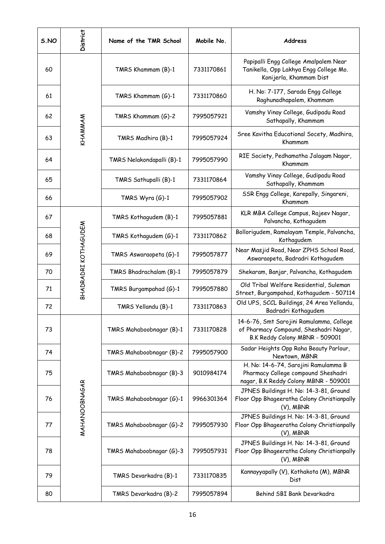| S.NO | District             | Name of the TMR School    | Mobile No. | Address                                                                                                              |
|------|----------------------|---------------------------|------------|----------------------------------------------------------------------------------------------------------------------|
| 60   |                      | TMRS Khammam (B)-1        | 7331170861 | Papipalli Engg College Amalpalem Near<br>Tanikella, Opp Lakhya Engg College Mo.<br>Konijerla, Khammam Dist           |
| 61   |                      | TMRS Khammam (G)-1        | 7331170860 | H. No: 7-177, Sarada Engg College<br>Raghunadhapalem, Khammam                                                        |
| 62   |                      | TMRS Khammam $(G)$ -2     | 7995057921 | Vamshy Vinay College, Gudipadu Road<br>Sathapally, Khammam                                                           |
| 63   | KHAMMAM              | TMRS Madhira (B)-1        | 7995057924 | Sree Kavitha Educational Socety, Madhira,<br>Khammam                                                                 |
| 64   |                      | TMRS Nelakondapalli (B)-1 | 7995057990 | RIE Society, Pedhamatha Jalagam Nagar,<br>Khammam                                                                    |
| 65   |                      | TMRS Sathupalli (B)-1     | 7331170864 | Vamshy Vinay College, Gudipadu Road<br>Sathapally, Khammam                                                           |
| 66   |                      | TMRS Wyra (G)-1           | 7995057902 | SSR Engg College, Karepally, Singareni,<br>Khammam                                                                   |
| 67   |                      | TMRS Kothagudem (B)-1     | 7995057881 | KLR MBA College Campus, Rajeev Nagar,<br>Palvancha, Kothagudem                                                       |
| 68   |                      | TMRS Kothagudem $(G)-1$   | 7331170862 | Bollorigudem, Ramalayam Temple, Palvancha,<br>Kothagudem                                                             |
| 69   | BHADRADRI KOTHAGUDEM | TMRS Aswaraopeta (G)-1    | 7995057877 | Near Masjid Road, Near ZPHS School Road,<br>Aswaraopeta, Badradri Kothagudem                                         |
| 70   |                      | TMRS Bhadrachalam (B)-1   | 7995057879 | Shekaram, Banjar, Palvancha, Kothagudem                                                                              |
| 71   |                      | TMRS Burgampahad (G)-1    | 7995057880 | Old Tribal Welfare Residential, Suleman<br>Street, Burgampahad, Kothagudem - 507114                                  |
| 72   |                      | TMRS Yellandu (B)-1       | 7331170863 | Old UPS, SCCL Buildings, 24 Area Yellandu,<br>Badradri Kothagudem                                                    |
| 73   |                      | TMRS Mahaboobnagar (B)-1  | 7331170828 | 14-6-76, Smt Sarojini Ramulamma, College<br>of Pharmacy Compound, Sheshadri Nagar,<br>B.K Reddy Colony MBNR - 509001 |
| 74   |                      | TMRS Mahaboobnagar (B)-2  | 7995057900 | Sadar Heights Opp Raha Beauty Parlour,<br>Newtown, MBNR                                                              |
| 75   |                      | TMRS Mahaboobnagar (B)-3  | 9010984174 | H. No: 14-6-74, Sarojini Ramulamma B<br>Pharmacy College compound Sheshadri<br>nagar, B.K Reddy Colony MBNR - 509001 |
| 76   | MAHANOBNAGAR         | TMRS Mahaboobnagar (G)-1  | 9966301364 | JPNES Buildings H. No: 14-3-81, Ground<br>Floor Opp Bhageeratha Colony Christianpally<br>(V), MBNR                   |
| 77   |                      | TMRS Mahaboobnagar (G)-2  | 7995057930 | JPNES Buildings H. No: 14-3-81, Ground<br>Floor Opp Bhageeratha Colony Christianpally<br>(V), MBNR                   |
| 78   |                      | TMRS Mahaboobnagar (G)-3  | 7995057931 | JPNES Buildings H. No: 14-3-81, Ground<br>Floor Opp Bhageeratha Colony Christianpally<br>(V), MBNR                   |
| 79   |                      | TMRS Devarkadra (B)-1     | 7331170835 | Kannayyapally (V), Kothakota (M), MBNR<br>Dist                                                                       |
| 80   |                      | TMRS Devarkadra (B)-2     | 7995057894 | Behind SBI Bank Devarkadra                                                                                           |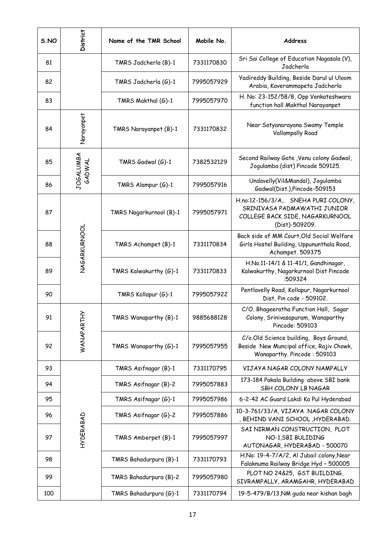| S.NO | District            | Name of the TMR School   | Mobile No. | Address                                                                                                                 |
|------|---------------------|--------------------------|------------|-------------------------------------------------------------------------------------------------------------------------|
| 81   |                     | TMRS Jadcherla (B)-1     | 7331170830 | Sri Sai College of Education Nagasala (V),<br>Jadcherla                                                                 |
| 82   |                     | TMRS Jadcherla (G)-1     | 7995057929 | Yadireddy Building, Beside Darul ul Uloom<br>Arabia, Kaverammapeta Jadcherla                                            |
| 83   |                     | TMRS Makthal $(G)-1$     | 7995057970 | H. No: 23-152/58/8, Opp Venkateshwara<br>function hall Makthal Narayanpet                                               |
| 84   | Narayanpet          | TMRS Narayanpet (B)-1    | 7331170832 | Near Satyanarayana Swamy Temple<br><b>Vallampally Road</b>                                                              |
| 85   | JOGALUMBA<br>GADWAL | TMRS Gadwal (G)-1        | 7382532129 | Second Railway Gate, Venu colony Gadwal,<br>Jogulamba (dist) Pincode 509125.                                            |
| 86   |                     | TMRS Alampur (G)-1       | 7995057916 | Undavelly(Vil&Mandal), Jogulamba<br>Gadwal(Dist.), Pincode-509153                                                       |
| 87   | NAGARKURNOOL        | TMRS Nagarkurnool (B)-1  | 7995057971 | H.no:12-156/3/A, SNEHA PURI COLONY,<br>SRINIVASA PADMAWATHI JUNIOR<br>COLLEGE BACK SIDE, NAGARKURNOOL<br>(Dist)-509209. |
| 88   |                     | TMRS Achampet (B)-1      | 7331170834 | Back side of MM Court, Old Social Welfare<br>Girls Hostel Building, Uppununthala Road,<br>Achampet. 509375              |
| 89   |                     | TMRS Kalwakurthy $(G)-1$ | 7331170833 | H.No.11-14/1 & 11-41/1, Gandhinagar,<br>Kalwakurthy, Nagarkurnool Dist Pincode<br>:509324                               |
| 90   |                     | TMRS Kollapur (G)-1      | 7995057922 | Pentlavelly Road, Kollapur, Nagarkurnool<br>Dist, Pin code - 509102.                                                    |
| 91   |                     | TMRS Wanaparthy (B)-1    | 9885688128 | C/O. Bhageeratha Function Hall, Sagar<br>Colony, Srinivasapuram, Wanaparthy<br>Pincode: 509103                          |
| 92   | WANAPARTHY          | TMRS Wanaparthy $(G)-1$  | 7995057955 | C/o.Old Science building, Boys Ground,<br>Beside New Muncipal office, Rajiv Chowk,<br>Wanaparthy. Pincode: 509103       |
| 93   |                     | TMRS Asifnagar (B)-1     | 7331170795 | VIJAYA NAGAR COLONY NAMPALLY                                                                                            |
| 94   |                     | TMRS Asifnagar (B)-2     | 7995057883 | 173-184 Pakala Building above SBI bank<br>SBH COLONY LB NAGAR                                                           |
| 95   |                     | TMRS Asifnagar (G)-1     | 7995057986 | 6-2-42 AC Guard Lakdi Ka Pul Hyderabad                                                                                  |
| 96   | HYDERABAD           | TMRS Asifnagar (G)-2     | 7995057886 | 10-3-761/33/A, VIJAYA NAGAR COLONY<br>, BEHIND VANI SCHOOL, HYDERABAD.                                                  |
| 97   |                     | TMRS Amberpet (B)-1      | 7995057997 | SAI NIRMAN CONSTRUCTION, PLOT<br>NO-1, SBI BULIDING<br>AUTONAGAR, HYDERABAD - 500070                                    |
| 98   |                     | TMRS Bahadurpura (B)-1   | 7331170793 | H.No: 19-4-7/A/2, Al Jubail colony, Near<br>Falaknuma Railway Bridge Hyd - 500005                                       |
| 99   |                     | TMRS Bahadurpura (B)-2   | 7995057980 | PLOT NO 24&25, GST BUILDING,<br>SIVRAMPALLY, ARAMGAHR, HYDERABAD                                                        |
| 100  |                     | TMRS Bahadurpura (G)-1   | 7331170794 | 19-5-479/B/13, NM guda near kishan bagh                                                                                 |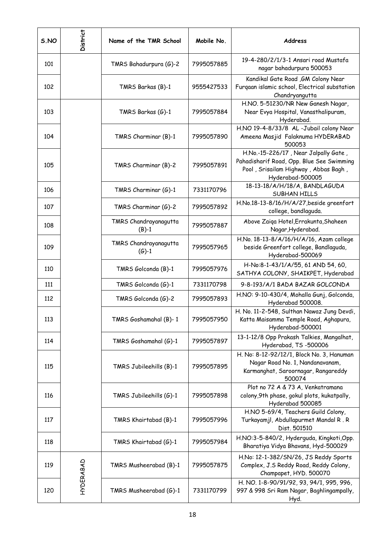| S.NO | <b>District</b> | Name of the TMR School           | Mobile No. | <b>Address</b>                                                                                                                                |
|------|-----------------|----------------------------------|------------|-----------------------------------------------------------------------------------------------------------------------------------------------|
| 101  |                 | TMRS Bahadurpura (G)-2           | 7995057885 | 19-4-280/2/1/3-1 Ansari road Mustafa<br>nagar bahadurpura 500053                                                                              |
| 102  |                 | TMRS Barkas (B)-1                | 9555427533 | Kandikal Gate Road , GM Colony Near<br>Furgaan islamic school, Electrical substation<br>Chandryangutta                                        |
| 103  |                 | TMRS Barkas $(G)-1$              | 7995057884 | H.NO. 5-51230/NR New Ganesh Nagar,<br>Near Evya Hospital, Vanasthalipuram,<br>Hyderabad.                                                      |
| 104  |                 | TMRS Charminar (B)-1             | 7995057890 | H.NO 19-4-8/33/8 AL -Jubail colony Near<br>Ameena Masjid Falaknuma HYDERABAD<br>500053                                                        |
| 105  |                 | TMRS Charminar (B)-2             | 7995057891 | H.No.-15-226/17, Near Jalpally Gate,<br>Pahadisharif Road, Opp. Blue See Swimming<br>Pool, Srisailam Highway, Abbas Bagh,<br>Hyderabad-500005 |
| 106  |                 | TMRS Charminar (G)-1             | 7331170796 | 18-13-18/A/H/18/A, BANDLAGUDA<br>SUBHAN HILLS                                                                                                 |
| 107  |                 | TMRS Charminar (G)-2             | 7995057892 | H.No.18-13-8/16/H/A/27, beside greenfort<br>college, bandlaguda.                                                                              |
| 108  |                 | TMRS Chandrayanagutta<br>$(B)-1$ | 7995057887 | Above Zaiga Hotel, Errakunta, Shaheen<br>Nagar, Hyderabad.                                                                                    |
| 109  |                 | TMRS Chandrayanagutta<br>$(G)-1$ | 7995057965 | H.No. 18-13-8/A/16/H/A/16, Azam college<br>beside Greenfort college, Bandlaguda,<br>Hyderabad-500069                                          |
| 110  |                 | TMRS Golconda (B)-1              | 7995057976 | H-No:8-1-43/1/A/55, 61 AND 54, 60,<br>SATHYA COLONY, SHAIKPET, Hyderabad                                                                      |
| 111  |                 | TMRS Golconda (G)-1              | 7331170798 | 9-8-193/A/1 BADA BAZAR GOLCONDA                                                                                                               |
| 112  |                 | TMRS Golconda (G)-2              | 7995057893 | H.NO: 9-10-430/4, Mohalla Gunj, Golconda,<br>Hyderabad 500008.                                                                                |
| 113  |                 | TMRS Goshamahal (B)- 1           | 7995057950 | H. No. 11-2-548, Sulthan Nawaz Jung Devdi,<br>Katta Maisamma Temple Road, Aghapura,<br>Hyderabad-500001                                       |
| 114  |                 | TMRS Goshamahal (G)-1            | 7995057897 | 13-1-12/8 Opp Prakash Talkies, Mangalhat,<br>Hyderabad, TS -500006                                                                            |
| 115  |                 | TMRS Jubileehills (B)-1          | 7995057895 | H. No: 8-12-92/12/1, Block No. 3, Hanuman<br>Nagar Road No. 1, Nandanavanam,<br>Karmanghat, Saroornagar, Rangareddy<br>500074                 |
| 116  |                 | TMRS Jubileehills (G)-1          | 7995057898 | Plot no 72 A & 73 A, Venkatramana<br>colony, 9th phase, gokul plots, kukatpally,<br>Hyderabad 500085                                          |
| 117  |                 | TMRS Khairtabad (B)-1            | 7995057996 | H.NO 5-69/4, Teachers Guild Colony,<br>Turkayamjl, Abdullapurmet Mandal R. R<br>Dist. 501510                                                  |
| 118  |                 | TMRS Khairtabad $(G)-1$          | 7995057984 | H.NO:3-5-840/2, Hyderguda, Kingkoti, Opp.<br>Bharatiya Vidya Bhavans, Hyd-500029                                                              |
| 119  | HYDERABAD       | TMRS Musheerabad (B)-1           | 7995057875 | H.No: 12-1-382/SN/26, JS Reddy Sports<br>Complex, J.S Reddy Road, Reddy Colony,<br>Champapet, HYD. 500070                                     |
| 120  |                 | TMRS Musheerabad (G)-1           | 7331170799 | H. NO. 1-8-90/91/92, 93, 94/1, 995, 996,<br>997 & 998 Sri Ram Nagar, Baghlingampally,<br>Hyd.                                                 |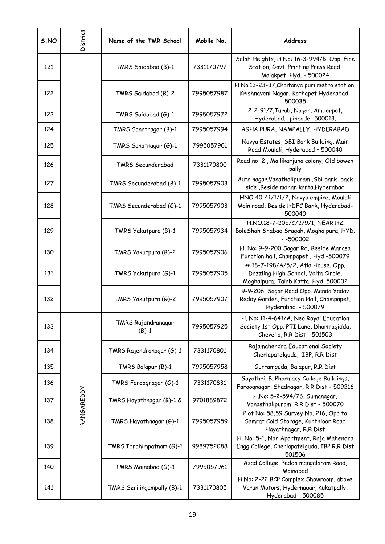| S.NO | District   | Name of the TMR School        | Mobile No. | Address                                                                                                          |
|------|------------|-------------------------------|------------|------------------------------------------------------------------------------------------------------------------|
| 121  |            | TMRS Saidabad (B)-1           | 7331170797 | Salah Heights, H.No: 16-3-994/B, Opp. Fire<br>Station, Govt. Printing Press Road,<br>Malakpet, Hyd. - 500024     |
| 122  |            | TMRS Saidabad (B)-2           | 7995057987 | H.No.13-23-37, Chaitanya puri metro station,<br>Krishnaveni Nagar, Kothapet, Hyderabad-<br>500035                |
| 123  |            | TMRS Saidabad (G)-1           | 7995057972 | 2-2-91/7, Turab, Nagar, Amberpet,<br>Hyderabad pincode- 500013.                                                  |
| 124  |            | TMRS Sanatnagar (B)-1         | 7995057994 | AGHA PURA, NAMPALLY, HYDERABAD                                                                                   |
| 125  |            | TMRS Sanatnagar (G)-1         | 7995057901 | Navya Estates, SBI Bank Building, Main<br>Road Moulali, Hyderabad - 500040                                       |
| 126  |            | TMRS Secunderabad             | 7331170800 | Road no: 2, Mallikarjuna colony, Old bowen<br>pally                                                              |
| 127  |            | TMRS Secunderabad (B)-1       | 7995057903 | Auto nagar.Vanathalipuram, Sbi bank back<br>side ,Beside mohan kanta.Hyderabad                                   |
| 128  |            | TMRS Secunderabad (G)-1       | 7995057903 | HNO 40-41/1/1/2, Navya empire, Moulali<br>Main road, Beside HDFC Bank, Hyderabad-<br>500040                      |
| 129  |            | TMRS Yakutpura (B)-1          | 7995057934 | H.NO.18-7-205/C/2/9/1, NEAR HZ<br>BoleShah Shabad Sragah, Moghalpura, HYD.<br>$-500002$                          |
| 130  |            | TMRS Yakutpura (B)-2          | 7995057906 | H. No: 9-9-200 Sagar Rd, Beside Manasa<br>Function hall, Champapet, Hyd -500079                                  |
| 131  |            | TMRS Yakutpura (G)-1          | 7995057905 | #18-7-198/A/5/2, Atia House, Opp.<br>Dazzling High School, Volta Circle,<br>Moghalpura, Talab Katta, Hyd. 500002 |
| 132  |            | TMRS Yakutpura (G)-2          | 7995057907 | 9-9-206, Sagar Road Opp. Manda Yadav<br>Reddy Garden, Function Hall, Champapet,<br>Hyderabad. - 500079           |
| 133  |            | TMRS Rajendranagar<br>$(B)-1$ | 7995057925 | H. No: 11-4-641/A, Neo Royal Education<br>Society 1st Opp. PTI Lane, Dharmagidda,<br>Chevella, R.R Dist - 501503 |
| 134  |            | TMRS Rajendranagar (G)-1      | 7331170801 | Rajamahendra Educational Society<br>Cherlapatelguda, IBP, R.R Dist                                               |
| 135  |            | TMRS Balapur (B)-1            | 7995057958 | Gurramguda, Balapur, R.R Dist                                                                                    |
| 136  | RANGAREDDY | TMRS Faroognagar (G)-1        | 7331170831 | Gayathri, B. Pharmacy College Buildings,<br>Farooqnagar, Shadnagar, R.R Dist - 509216                            |
| 137  |            | TMRS Hayathnagar (B)-1 &      | 9701889872 | H.No: 5-2-594/76, Sumanagar,<br>Vanasthalipuram, R.R Dist - 500070                                               |
| 138  |            | TMRS Hayathnagar (G)-1        | 7995057959 | Plot No: 58,59 Survey No. 216, Opp to<br>Samrat Cold Storage, Kunthloor Road<br>Hayathnagar, R.R Dist            |
| 139  |            | TMRS Ibrahimpatnam (G)-1      | 9989752088 | H. No: 5-1, Non Apartment, Raja Mahendra<br>Engg College, Cherlapatelguda, IBP R.R Dist<br>501506                |
| 140  |            | TMRS Moinabad (G)-1           | 7995057961 | Azad College, Pedda mangalaram Road,<br>Moinabad                                                                 |
| 141  |            | TMRS Serilingampally (B)-1    | 7331170805 | H.No: 2-22 BCP Complex Showroom, above<br>Varun Motors, Hydernagar, Kukatpally,<br>Hyderabad - 500085            |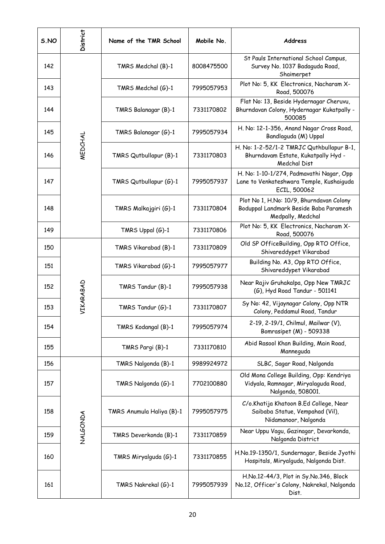| S.NO | District  | Name of the TMR School    | Mobile No. | Address                                                                                                 |
|------|-----------|---------------------------|------------|---------------------------------------------------------------------------------------------------------|
| 142  |           | TMRS Medchal (B)-1        | 8008475500 | St Pauls International School Campus,<br>Survey No. 1037 Badaguda Road,<br>Shaimerpet                   |
| 143  |           | TMRS Medchal (G)-1        | 7995057953 | Plot No: 5, KK Electronics, Nacharam X-<br>Road, 500076                                                 |
| 144  |           | TMRS Balanagar (B)-1      | 7331170802 | Flat No: 13, Beside Hydernagar Cheruvu,<br>Bhurndavan Colony, Hydernagar Kukatpally -<br>500085         |
| 145  |           | TMRS Balanagar (G)-1      | 7995057934 | H. No: 12-1-356, Anand Nagar Cross Road,<br>Bandlaguda (M) Uppal                                        |
| 146  | MEDCHAL   | TMRS Qutbullapur (B)-1    | 7331170803 | H. No: 1-2-52/1-2 TMRJC Quthbullapur B-1,<br>Bhurndavam Estate, Kukatpally Hyd -<br>Medchal Dist        |
| 147  |           | TMRS Qutbullapur (G)-1    | 7995057937 | H. No: 1-10-1/274, Padmavathi Nagar, Opp<br>Lane to Venkateshwara Temple, Kushaiguda<br>ECIL, 500062    |
| 148  |           | TMRS Malkajgiri (G)-1     | 7331170804 | Plot No 1, H.No: 10/9, Bhurndavan Colony<br>Boduppal Landmark Beside Baba Paramesh<br>Medpally, Medchal |
| 149  |           | TMRS Uppal (G)-1          | 7331170806 | Plot No: 5, KK Electronics, Nacharam X-<br>Road, 500076                                                 |
| 150  |           | TMRS Vikarabad (B)-1      | 7331170809 | Old SP OfficeBuilding, Opp RTO Office,<br>Shivareddypet Vikarabad                                       |
| 151  |           | TMRS Vikarabad (G)-1      | 7995057977 | Building No. A3, Opp RTO Office,<br>Shivareddypet Vikarabad                                             |
| 152  | VIKARABAD | TMRS Tandur (B)-1         | 7995057938 | Near Rajiv Gruhakalpa, Opp New TMRJC<br>(G), Hyd Road Tandur - 501141                                   |
| 153  |           | TMRS Tandur (G)-1         | 7331170807 | Sy No: 42, Vijaynagar Colony, Opp NTR<br>Colony, Peddamul Road, Tandur                                  |
| 154  |           | TMRS Kodangal (B)-1       | 7995057974 | 2-19, 2-19/1, Chilmul, Mailwar (V),<br>Bomrasipet (M) - 509338                                          |
| 155  |           | TMRS Pargi (B)-1          | 7331170810 | Abid Rasool Khan Building, Main Road,<br>Manneguda                                                      |
| 156  |           | TMRS Nalgonda (B)-1       | 9989924972 | SLBC, Sagar Road, Nalgonda                                                                              |
| 157  | NALGONDA  | TMRS Nalgonda (G)-1       | 7702100880 | Old Mona College Building, Opp: Kendriya<br>Vidyala, Ramnagar, Miryalaguda Road,<br>Nalgonda, 508001.   |
| 158  |           | TMRS Anumula Haliya (B)-1 | 7995057975 | C/o.Khatija Khatoon B.Ed College, Near<br>Saibaba Statue, Vempahad (Vil),<br>Nidamanoor, Nalgonda       |
| 159  |           | TMRS Deverkonda (B)-1     | 7331170859 | Near Uppu Vagu, Gazinagar, Devarkonda,<br>Nalgonda District                                             |
| 160  |           | TMRS Miryalguda (G)-1     | 7331170855 | H.No.19-1350/1, Sundernagar, Beside Jyothi<br>Hospitals, Miryalguda, Nalgonda Dist.                     |
| 161  |           | TMRS Nakrekal (G)-1       | 7995057939 | H.No.12-44/3, Plot in Sy.No.346, Block<br>No.12, Officer's Colony, Nakrekal, Nalgonda<br>Dist.          |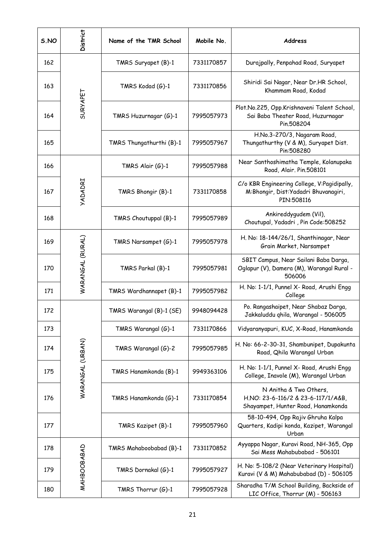| S.NO | District         | Name of the TMR School   | Mobile No. | Address                                                                                            |
|------|------------------|--------------------------|------------|----------------------------------------------------------------------------------------------------|
| 162  | <b>SURYAPET</b>  | TMRS Suryapet (B)-1      | 7331170857 | Durajpally, Penpahad Road, Suryapet                                                                |
| 163  |                  | TMRS Kodad (G)-1         | 7331170856 | Shiridi Sai Nagar, Near Dr.HR School,<br>Khammam Road, Kodad                                       |
| 164  |                  | TMRS Huzurnagar (G)-1    | 7995057973 | Plot.No.225, Opp.Krishnaveni Talent School,<br>Sai Baba Theater Road, Huzurnagar<br>Pin.508204     |
| 165  |                  | TMRS Thungathurthi (B)-1 | 7995057967 | H.No.3-270/3, Nagaram Road,<br>Thungathurthy (V & M), Suryapet Dist.<br>Pin:508280                 |
| 166  |                  | TMRS Alair $(G)-1$       | 7995057988 | Near Santhoshimatha Temple, Kolanupaka<br>Road, Alair. Pin.508101                                  |
| 167  | YADADRI          | TMRS Bhongir (B)-1       | 7331170858 | C/o KBR Engineering College, V:Pagidipally,<br>M:Bhongir, Dist: Yadadri Bhuvanagiri,<br>PIN:508116 |
| 168  |                  | TMRS Choutuppal (B)-1    | 7995057989 | Ankireddygudem (Vil),<br>Choutupal, Yadadri, Pin Code:508252                                       |
| 169  |                  | TMRS Narsampet $(G)-1$   | 7995057978 | H. No: 18-144/26/1, Shanthinagar, Near<br>Grain Market, Narsampet                                  |
| 170  | WARANGAL (RURAL) | TMRS Parkal (B)-1        | 7995057981 | SBIT Campus, Near Sailani Baba Darga,<br>Oglapur (V), Damera (M), Warangal Rural -<br>506006       |
| 171  |                  | TMRS Wardhannapet (B)-1  | 7995057982 | H. No: 1-1/1, Punnel X- Road, Arushi Engg<br>College                                               |
| 172  |                  | TMRS Warangal (B)-1 (SE) | 9948094428 | Po. Rangashaipet, Near Shabaz Darga,<br>Jakkaluddu qhila, Warangal - 506005                        |
| 173  |                  | TMRS Warangal (G)-1      | 7331170866 | Vidyaranyapuri, KUC, X-Road, Hanamkonda                                                            |
| 174  |                  | TMRS Warangal (G)-2      | 7995057985 | H. No: 66-2-30-31, Shambunipet, Dupakunta<br>Road, Qhila Warangal Urban                            |
| 175  | WARANGAL (URBAN) | TMRS Hanamkonda (B)-1    | 9949363106 | H. No: 1-1/1, Punnel X- Road, Arushi Engg<br>College, Inavole (M), Warangal Urban                  |
| 176  |                  | TMRS Hanamkonda (G)-1    | 7331170854 | N Anitha & Two Others,<br>H.NO: 23-6-116/2 & 23-6-117/1/A&B,<br>Shayampet, Hunter Road, Hanamkonda |
| 177  |                  | TMRS Kazipet (B)-1       | 7995057960 | 58-10-494, Opp Rajiv Ghruha Kalpa<br>Quarters, Kadipi konda, Kazipet, Warangal<br>Urban            |
| 178  | MAHBOOBABAD      | TMRS Mahaboobabad (B)-1  | 7331170852 | Ayyappa Nagar, Kuravi Road, NH-365, Opp<br>Sai Mess Mahabubabad - 506101                           |
| 179  |                  | TMRS Dornakal (G)-1      | 7995057927 | H. No: 5-108/2 (Near Veterinary Hospital)<br>Kuravi (V & M) Mahabubabad (D) - 506105               |
| 180  |                  | TMRS Thorrur (G)-1       | 7995057928 | Sharadha T/M School Building, Backside of<br>LIC Office, Thorrur (M) - 506163                      |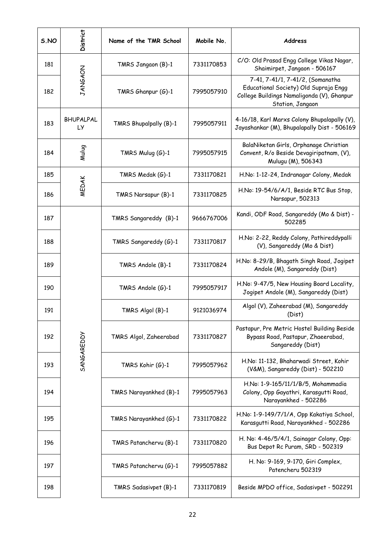| S.NO | District               | Name of the TMR School | Mobile No. | Address                                                                                                                                     |
|------|------------------------|------------------------|------------|---------------------------------------------------------------------------------------------------------------------------------------------|
| 181  | JANGAON                | TMRS Jangaon (B)-1     | 7331170853 | C/O: Old Prasad Engg College Vikas Nagar,<br>Shaimirpet, Jangaon - 506167                                                                   |
| 182  |                        | TMRS Ghanpur (G)-1     | 7995057910 | 7-41, 7-41/1, 7-41/2, (Somanatha<br>Educational Society) Old Supraja Engg<br>College Buildings Namaligonda (V), Ghanpur<br>Station, Jangaon |
| 183  | <b>BHUPALPAL</b><br>LУ | TMRS Bhupalpally (B)-1 | 7995057911 | 4-16/18, Karl Marxs Colony Bhupalapally (V),<br>Jayashankar (M), Bhupalapally Dist - 506169                                                 |
| 184  | Mulug                  | TMRS Mulug (G)-1       | 7995057915 | BalaNiketan Girls, Orphanage Christian<br>Convent, R/o Beside Devagiripatnam, (V),<br>Mulugu (M), 506343                                    |
| 185  |                        | TMRS Medak (G)-1       | 7331170821 | H.No: 1-12-24, Indranagar Colony, Medak                                                                                                     |
| 186  | MEDAK                  | TMRS Narsapur (B)-1    | 7331170825 | H.No: 19-54/6/A/1, Beside RTC Bus Stop,<br>Narsapur, 502313                                                                                 |
| 187  |                        | TMRS Sangareddy (B)-1  | 9666767006 | Kandi, ODF Road, Sangareddy (Mo & Dist) -<br>502285                                                                                         |
| 188  |                        | TMRS Sangareddy (G)-1  | 7331170817 | H.No: 2-22, Reddy Colony, Pathireddypalli<br>(V), Sangareddy (Mo & Dist)                                                                    |
| 189  |                        | TMRS Andole (B)-1      | 7331170824 | H.No: 8-29/B, Bhagath Singh Road, Jogipet<br>Andole (M), Sangareddy (Dist)                                                                  |
| 190  |                        | TMRS Andole (G)-1      | 7995057917 | H.No: 9-47/5, New Housing Board Locality,<br>Jogipet Andole (M), Sangareddy (Dist)                                                          |
| 191  |                        | TMRS Algol (B)-1       | 9121036974 | Algol (V), Zaheerabad (M), Sangareddy<br>(Dist)                                                                                             |
| 192  | SANGAREDDY             | TMRS Algol, Zaheerabad | 7331170827 | Pastapur, Pre Metric Hostel Building Beside<br>Bypass Road, Pastapur, Zhaeerabad,<br>Sangareddy (Dist)                                      |
| 193  |                        | TMRS Kohir (G)-1       | 7995057962 | H.No: 11-132, Bhaharwadi Street, Kohir<br>(V&M), Sangareddy (Dist) - 502210                                                                 |
| 194  |                        | TMRS Narayankhed (B)-1 | 7995057963 | H.No: 1-9-165/11/1/B/5, Mohammadia<br>Colony, Opp Gayathri, Karasgutti Road,<br>Narayankhed - 502286                                        |
| 195  |                        | TMRS Narayankhed (G)-1 | 7331170822 | H.No: 1-9-149/7/1/A, Opp Kakatiya School,<br>Karasgutti Road, Narayankhed - 502286                                                          |
| 196  |                        | TMRS Patanchervu (B)-1 | 7331170820 | H. No: 4-46/5/4/1, Sainagar Colony, Opp:<br>Bus Depot Rc Puram, SRD - 502319                                                                |
| 197  |                        | TMRS Patanchervu (G)-1 | 7995057882 | H. No: 9-169, 9-170, Giri Complex,<br>Patencheru 502319                                                                                     |
| 198  |                        | TMRS Sadasivpet (B)-1  | 7331170819 | Beside MPDO office, Sadasivpet - 502291                                                                                                     |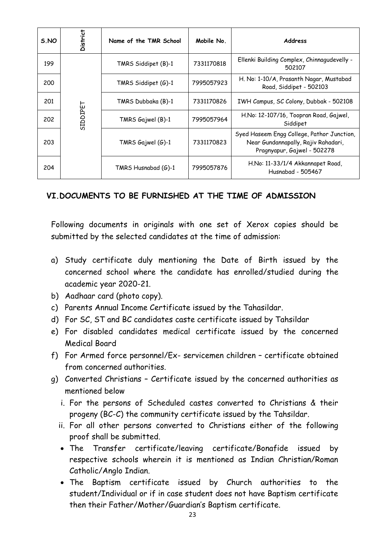| S.NO | District | Name of the TMR School | Mobile No. | <b>Address</b>                                                                                                   |
|------|----------|------------------------|------------|------------------------------------------------------------------------------------------------------------------|
| 199  |          | TMRS Siddipet (B)-1    | 7331170818 | Ellenki Building Complex, Chinnagudevelly -<br>502107                                                            |
| 200  |          | TMRS Siddipet (G)-1    | 7995057923 | H. No: 1-10/A, Prasanth Nagar, Mustabad<br>Road, Siddipet - 502103                                               |
| 201  |          | TMRS Dubbaka (B)-1     | 7331170826 | IWH Campus, SC Colony, Dubbak - 502108                                                                           |
| 202  | SIDDIPET | TMRS Gajwel (B)-1      | 7995057964 | H.No: 12-107/16, Toopran Road, Gajwel,<br>Siddipet                                                               |
| 203  |          | TMRS Gajwel (G)-1      | 7331170823 | Syed Haseem Engg College, Pathor Junction,<br>Near Gundannapally, Rajiv Rahadari,<br>Pragnyapur, Gajwel - 502278 |
| 204  |          | TMRS Husnabad (G)-1    | 7995057876 | H.No: 11-33/1/4 Akkannapet Road,<br>Husnabad - 505467                                                            |

## **VI.DOCUMENTS TO BE FURNISHED AT THE TIME OF ADMISSION**

Following documents in originals with one set of Xerox copies should be submitted by the selected candidates at the time of admission:

- a) Study certificate duly mentioning the Date of Birth issued by the concerned school where the candidate has enrolled/studied during the academic year 2020-21.
- b) Aadhaar card (photo copy).
- c) Parents Annual Income Certificate issued by the Tahasildar.
- d) For SC, ST and BC candidates caste certificate issued by Tahsildar
- e) For disabled candidates medical certificate issued by the concerned Medical Board
- f) For Armed force personnel/Ex- servicemen children certificate obtained from concerned authorities.
- g) Converted Christians Certificate issued by the concerned authorities as mentioned below
	- i. For the persons of Scheduled castes converted to Christians & their progeny (BC-C) the community certificate issued by the Tahsildar.
	- ii. For all other persons converted to Christians either of the following proof shall be submitted.
	- The Transfer certificate/leaving certificate/Bonafide issued by respective schools wherein it is mentioned as Indian Christian/Roman Catholic/Anglo Indian.
	- The Baptism certificate issued by Church authorities to the student/Individual or if in case student does not have Baptism certificate then their Father/Mother/Guardian's Baptism certificate.